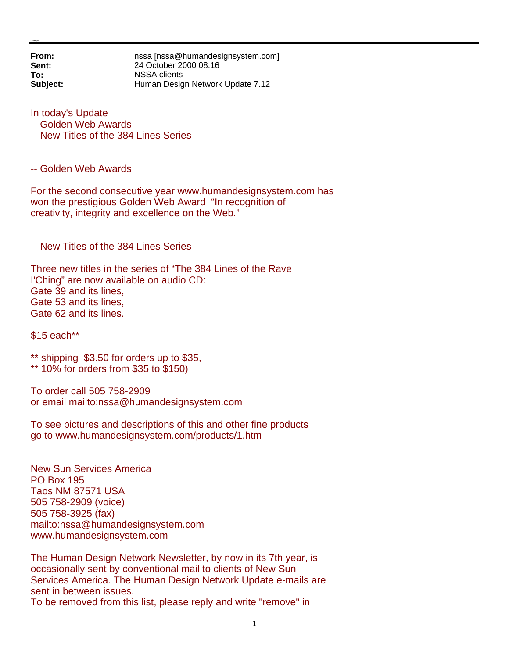**From: nssa** [nssa@humandesignsystem.com]<br> **Sent:** 24 October 2000 08:16 **Sent:** 24 October 2000 08:16 **To:** NSSA clients **Subject:** Human Design Network Update 7.12

In today's Update

- -- Golden Web Awards
- -- New Titles of the 384 Lines Series

-- Golden Web Awards

For the second consecutive year www.humandesignsystem.com has won the prestigious Golden Web Award "In recognition of creativity, integrity and excellence on the Web."

-- New Titles of the 384 Lines Series

Three new titles in the series of "The 384 Lines of the Rave I'Ching" are now available on audio CD: Gate 39 and its lines, Gate 53 and its lines, Gate 62 and its lines.

\$15 each\*\*

\*\* shipping \$3.50 for orders up to \$35,

\*\* 10% for orders from \$35 to \$150)

To order call 505 758-2909 or email mailto:nssa@humandesignsystem.com

To see pictures and descriptions of this and other fine products go to www.humandesignsystem.com/products/1.htm

New Sun Services America PO Box 195 Taos NM 87571 USA 505 758-2909 (voice) 505 758-3925 (fax) mailto:nssa@humandesignsystem.com www.humandesignsystem.com

The Human Design Network Newsletter, by now in its 7th year, is occasionally sent by conventional mail to clients of New Sun Services America. The Human Design Network Update e-mails are sent in between issues. To be removed from this list, please reply and write "remove" in